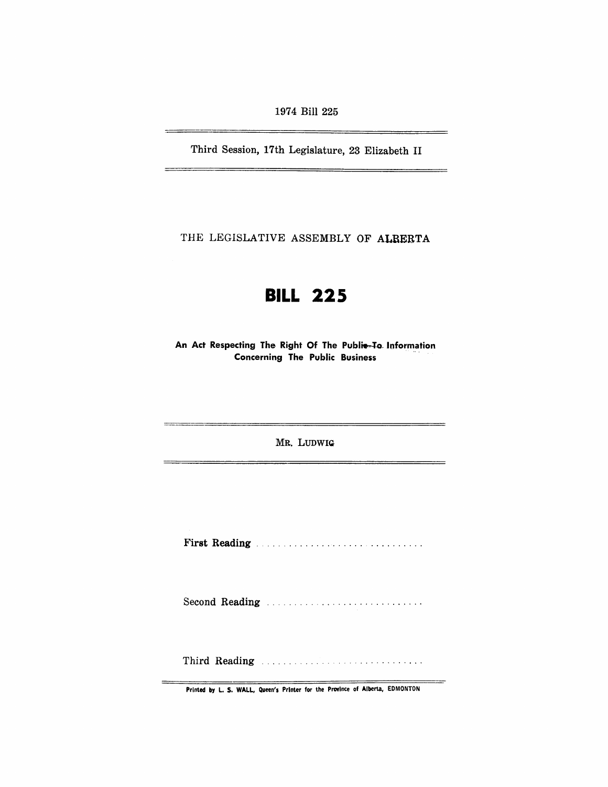1974 Bill 225

Third Session, 17th Legislature, 23 Elizabeth II

THE LEGISLATIVE ASSEMBLY OF ALBERTA

# **BILL 225**

An Act Respecting The Right Of The Publie-To Information Concerning The Public Business

MR. LUDWIQ

First Reading . . . . . . . . . . . . . . . . . . .. . ....... ,'

Second Reading ................................

Third Reading ............................. .

Printed by L. S. WALL, Queen's Printer for the Province of Alberta, EDMONTON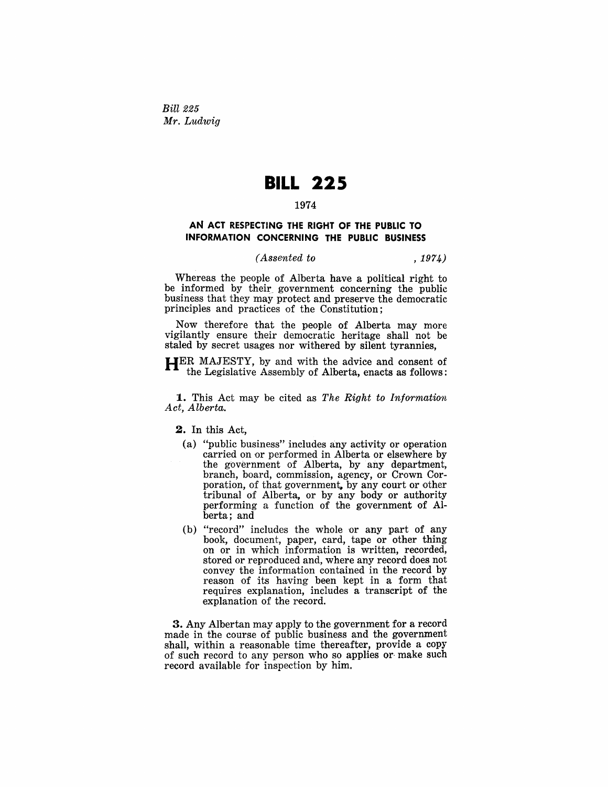*Bill* 225 *Mr. Ludwig* 

## **BILL 225**

#### 1974

### AN ACT RESPECTING THE RIGHT OF THE PUBLIC TO INFORMATION CONCERNING THE PUBLIC BUSINESS

#### *(Assented to* ,1974)

Whereas the people of Alberta have a political right to be informed by their government concerning the public business that they may protect and preserve the democratic principles and practices of the Constitution;

Now therefore that the people of Alberta may more vigilantly ensure their democratic heritage shall not be staled by secret usages nor withered by silent tyrannies,

HER MAJESTY, by and with the advice and consent of the Legislative Assembly of Alberta, enacts as follows:

1. This Act may be cited as *The Right to Information Act, Alberta.* 

2. In this Act,

- (a) "public business" includes any activity or operation carried on or performed in Alberta or elsewhere by the government of Alberta, by any department, branch, board, commission, agency, or Crown Corporation, of that government, by any court or other tribunal of Alberta, or by any body or authority performing a function of the government of Alberta; and
- (b) "record" includes the whole or any part of any book, document, paper, card, tape or other thing on or in which information is written, recorded, stored or reproduced and, where any record does not convey the information contained in the record by reason of its having been kept in a form that requires explanation, includes a transcript of the explanation of the record.

3. Any Albertan may apply to the government for a record made in the course of public business and the government shall, within a reasonable time thereafter, provide a copy of such record to any person who so applies or make such record available for inspection by him,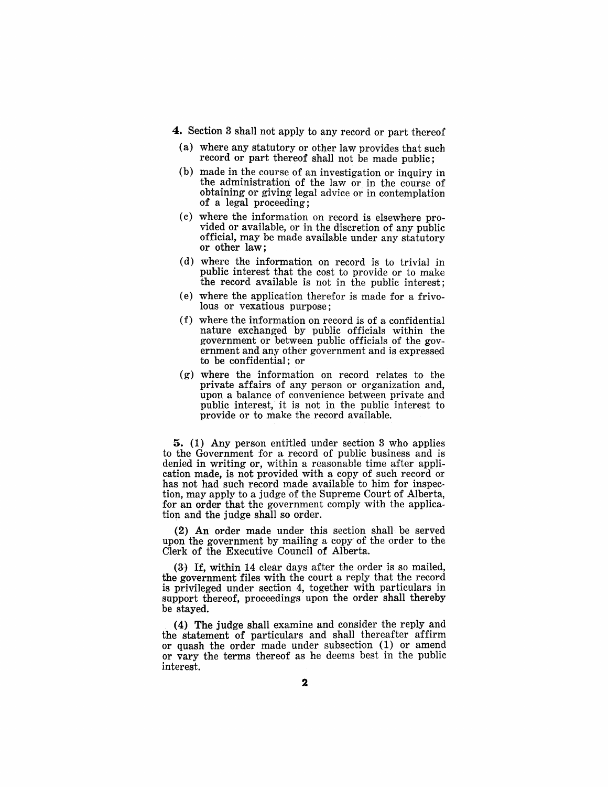4. Section 3 shall not apply to any record or part thereof

- (a) where any statutory or other law provides that such record or part thereof shall not be made public;
- (b) made in the course of an investigation or inquiry in the administration of the law or in the eourse of obtaining or giving legal advice or in contemplation of a legal proceeding;
- (c) where the information on record is elsewhere provided or available, or in the discretion of any public official, may be made available under any statutory or other law;
- (d) where the information on record is to trivial in public interest that the cost to provide or to make the record available is not in the public interest;
- (e) where the application therefor is made for a frivolous or vexatious purpose;
- (f) where the information on record is of a confidential nature exchanged by public officials within the government or between public officials of the government and any other government and is expressed to be confidential; or
- (g) where the information on record relates to the private affairs of any person or organization and, upon a balance of convenience between private and public interest, it is not in the public interest to provide or to make the record available.

5. (1) Any person entitled under section 3 who applies to the Government for a record of public business and is denied in writing or, within a reasonable time after application made, is not provided with a copy of such record or has not had such record made available to him for inspection, may apply to a judge of the Supreme Court of Alberta, for an order that the government comply with the application and the judge shall so order.

(2) An order made under this section shall be served upon the government by mailing a copy of the order to the Clerk of the Executive Council of Alberta.

(3) If, within 14 clear days after the order is so mailed, the government files with the court a reply that the record is privileged under section 4, together with particulars in support thereof, proceedings upon the order shall thereby be stayed.

(4) The judge shall examine and consider the reply and the statement of particulars and shall thereafter affirm or quash the order made under subsection (1) or amend or vary the terms thereof as he deems best in the public interest.